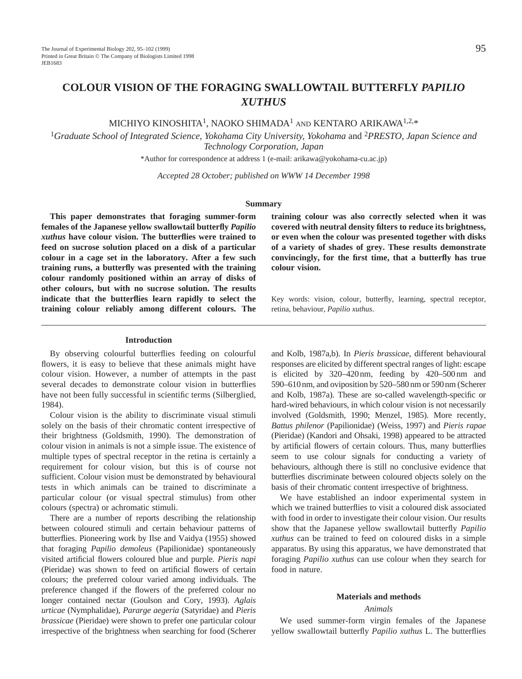# **COLOUR VISION OF THE FORAGING SWALLOWTAIL BUTTERFLY** *PAPILIO XUTHUS*

MICHIYO KINOSHITA1, NAOKO SHIMADA1 AND KENTARO ARIKAWA1,2,\*

<sup>1</sup>*Graduate School of Integrated Science, Yokohama City University, Yokohama* and 2*PRESTO, Japan Science and Technology Corporation, Japan*

\*Author for correspondence at address 1 (e-mail: arikawa@yokohama-cu.ac.jp)

*Accepted 28 October; published on WWW 14 December 1998*

# **Summary**

**This paper demonstrates that foraging summer-form females of the Japanese yellow swallowtail butterfly** *Papilio xuthus* **have colour vision. The butterflies were trained to feed on sucrose solution placed on a disk of a particular colour in a cage set in the laboratory. After a few such training runs, a butterfly was presented with the training colour randomly positioned within an array of disks of other colours, but with no sucrose solution. The results indicate that the butterflies learn rapidly to select the training colour reliably among different colours. The**

**Introduction**

By observing colourful butterflies feeding on colourful flowers, it is easy to believe that these animals might have colour vision. However, a number of attempts in the past several decades to demonstrate colour vision in butterflies have not been fully successful in scientific terms (Silberglied, 1984).

Colour vision is the ability to discriminate visual stimuli solely on the basis of their chromatic content irrespective of their brightness (Goldsmith, 1990). The demonstration of colour vision in animals is not a simple issue. The existence of multiple types of spectral receptor in the retina is certainly a requirement for colour vision, but this is of course not sufficient. Colour vision must be demonstrated by behavioural tests in which animals can be trained to discriminate a particular colour (or visual spectral stimulus) from other colours (spectra) or achromatic stimuli.

There are a number of reports describing the relationship between coloured stimuli and certain behaviour patterns of butterflies. Pioneering work by Ilse and Vaidya (1955) showed that foraging *Papilio demoleus* (Papilionidae) spontaneously visited artificial flowers coloured blue and purple. *Pieris napi* (Pieridae) was shown to feed on artificial flowers of certain colours; the preferred colour varied among individuals. The preference changed if the flowers of the preferred colour no longer contained nectar (Goulson and Cory, 1993). *Aglais urticae* (Nymphalidae), *Pararge aegeria* (Satyridae) and *Pieris brassicae* (Pieridae) were shown to prefer one particular colour irrespective of the brightness when searching for food (Scherer

**training colour was also correctly selected when it was covered with neutral density filters to reduce its brightness, or even when the colour was presented together with disks of a variety of shades of grey. These results demonstrate convincingly, for the first time, that a butterfly has true colour vision.**

Key words: vision, colour, butterfly, learning, spectral receptor, retina, behaviour, *Papilio xuthus*.

and Kolb, 1987a,b). In *Pieris brassicae*, different behavioural responses are elicited by different spectral ranges of light: escape is elicited by 320–420 nm, feeding by 420–500 nm and 590–610 nm, and oviposition by 520–580 nm or 590 nm (Scherer and Kolb, 1987a). These are so-called wavelength-specific or hard-wired behaviours, in which colour vision is not necessarily involved (Goldsmith, 1990; Menzel, 1985). More recently, *Battus philenor* (Papilionidae) (Weiss, 1997) and *Pieris rapae* (Pieridae) (Kandori and Ohsaki, 1998) appeared to be attracted by artificial flowers of certain colours. Thus, many butterflies seem to use colour signals for conducting a variety of behaviours, although there is still no conclusive evidence that butterflies discriminate between coloured objects solely on the basis of their chromatic content irrespective of brightness.

We have established an indoor experimental system in which we trained butterflies to visit a coloured disk associated with food in order to investigate their colour vision. Our results show that the Japanese yellow swallowtail butterfly *Papilio xuthus* can be trained to feed on coloured disks in a simple apparatus. By using this apparatus, we have demonstrated that foraging *Papilio xuthus* can use colour when they search for food in nature.

# **Materials and methods**

# *Animals*

We used summer-form virgin females of the Japanese yellow swallowtail butterfly *Papilio xuthus* L. The butterflies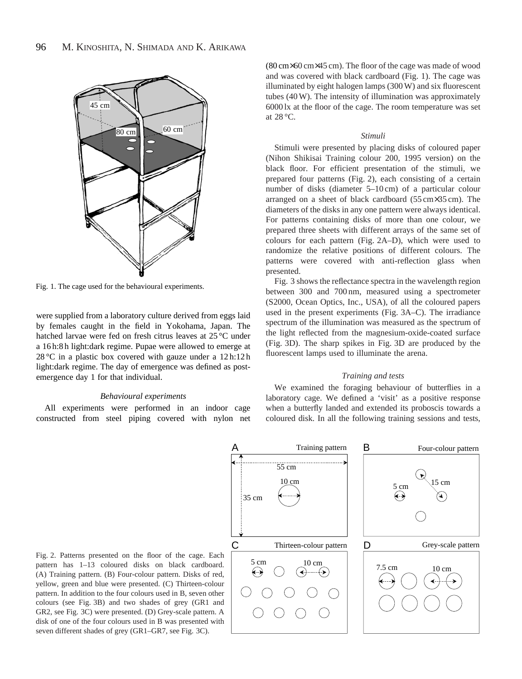

Fig. 1. The cage used for the behavioural experiments.

were supplied from a laboratory culture derived from eggs laid by females caught in the field in Yokohama, Japan. The hatched larvae were fed on fresh citrus leaves at 25 °C under a 16 h:8 h light:dark regime. Pupae were allowed to emerge at  $28\textdegree$ C in a plastic box covered with gauze under a 12 h:12 h light:dark regime. The day of emergence was defined as postemergence day 1 for that individual.

# *Behavioural experiments*

All experiments were performed in an indoor cage constructed from steel piping covered with nylon net

(80 cm×60 cm×45 cm). The floor of the cage was made of wood and was covered with black cardboard (Fig. 1). The cage was illuminated by eight halogen lamps (300 W) and six fluorescent tubes (40 W). The intensity of illumination was approximately 6000 lx at the floor of the cage. The room temperature was set at 28 °C.

# *Stimuli*

Stimuli were presented by placing disks of coloured paper (Nihon Shikisai Training colour 200, 1995 version) on the black floor. For efficient presentation of the stimuli, we prepared four patterns (Fig. 2), each consisting of a certain number of disks (diameter 5–10 cm) of a particular colour arranged on a sheet of black cardboard (55 cm×35 cm). The diameters of the disks in any one pattern were always identical. For patterns containing disks of more than one colour, we prepared three sheets with different arrays of the same set of colours for each pattern (Fig. 2A–D), which were used to randomize the relative positions of different colours. The patterns were covered with anti-reflection glass when presented.

Fig. 3 shows the reflectance spectra in the wavelength region between 300 and 700 nm, measured using a spectrometer (S2000, Ocean Optics, Inc., USA), of all the coloured papers used in the present experiments (Fig. 3A–C). The irradiance spectrum of the illumination was measured as the spectrum of the light reflected from the magnesium-oxide-coated surface (Fig. 3D). The sharp spikes in Fig. 3D are produced by the fluorescent lamps used to illuminate the arena.

### *Training and tests*

We examined the foraging behaviour of butterflies in a laboratory cage. We defined a 'visit' as a positive response when a butterfly landed and extended its proboscis towards a coloured disk. In all the following training sessions and tests,



Fig. 2. Patterns presented on the floor of the cage. Each pattern has 1–13 coloured disks on black cardboard. (A) Training pattern. (B) Four-colour pattern. Disks of red, yellow, green and blue were presented. (C) Thirteen-colour pattern. In addition to the four colours used in B, seven other colours (see Fig. 3B) and two shades of grey (GR1 and GR2, see Fig. 3C) were presented. (D) Grey-scale pattern. A disk of one of the four colours used in B was presented with seven different shades of grey (GR1–GR7, see Fig. 3C).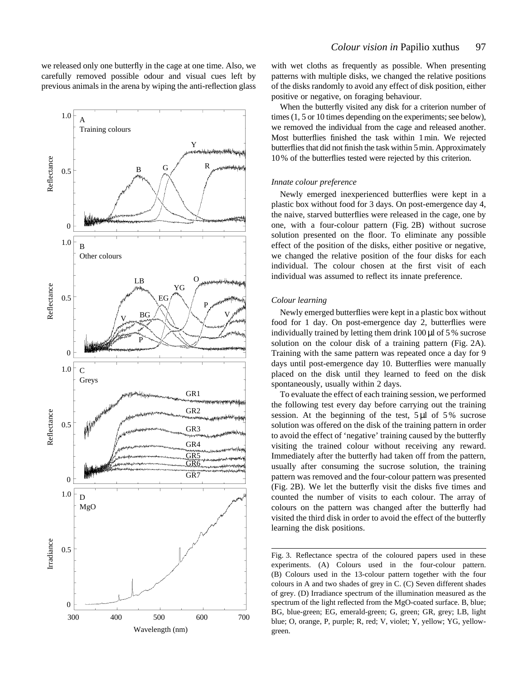we released only one butterfly in the cage at one time. Also, we carefully removed possible odour and visual cues left by previous animals in the arena by wiping the anti-reflection glass



with wet cloths as frequently as possible. When presenting patterns with multiple disks, we changed the relative positions of the disks randomly to avoid any effect of disk position, either positive or negative, on foraging behaviour.

When the butterfly visited any disk for a criterion number of times (1, 5 or 10 times depending on the experiments; see below), we removed the individual from the cage and released another. Most butterflies finished the task within 1min. We rejected butterflies that did not finish the task within 5min. Approximately 10% of the butterflies tested were rejected by this criterion.

# *Innate colour preference*

Newly emerged inexperienced butterflies were kept in a plastic box without food for 3 days. On post-emergence day 4, the naive, starved butterflies were released in the cage, one by one, with a four-colour pattern (Fig. 2B) without sucrose solution presented on the floor. To eliminate any possible effect of the position of the disks, either positive or negative, we changed the relative position of the four disks for each individual. The colour chosen at the first visit of each individual was assumed to reflect its innate preference.

# *Colour learning*

Newly emerged butterflies were kept in a plastic box without food for 1 day. On post-emergence day 2, butterflies were individually trained by letting them drink 100 µl of 5 % sucrose solution on the colour disk of a training pattern (Fig. 2A). Training with the same pattern was repeated once a day for 9 days until post-emergence day 10. Butterflies were manually placed on the disk until they learned to feed on the disk spontaneously, usually within 2 days.

To evaluate the effect of each training session, we performed the following test every day before carrying out the training session. At the beginning of the test,  $5 \mu l$  of  $5\%$  sucrose solution was offered on the disk of the training pattern in order to avoid the effect of 'negative' training caused by the butterfly visiting the trained colour without receiving any reward. Immediately after the butterfly had taken off from the pattern, usually after consuming the sucrose solution, the training pattern was removed and the four-colour pattern was presented (Fig. 2B). We let the butterfly visit the disks five times and counted the number of visits to each colour. The array of colours on the pattern was changed after the butterfly had visited the third disk in order to avoid the effect of the butterfly learning the disk positions.

Fig. 3. Reflectance spectra of the coloured papers used in these experiments. (A) Colours used in the four-colour pattern. (B) Colours used in the 13-colour pattern together with the four colours in A and two shades of grey in C. (C) Seven different shades of grey. (D) Irradiance spectrum of the illumination measured as the spectrum of the light reflected from the MgO-coated surface. B, blue; BG, blue-green; EG, emerald-green; G, green; GR, grey; LB, light blue; O, orange, P, purple; R, red; V, violet; Y, yellow; YG, yellowgreen.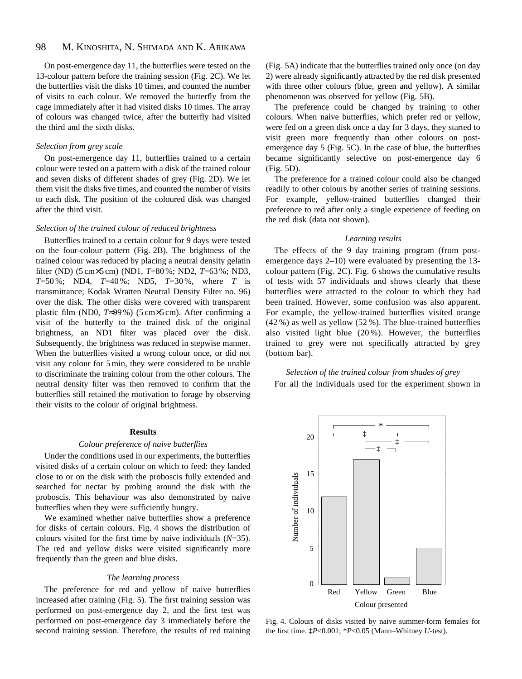#### 98 M. KINOSHITA, N. SHIMADA AND K. ARIKAWA

On post-emergence day 11, the butterflies were tested on the 13-colour pattern before the training session (Fig. 2C). We let the butterflies visit the disks 10 times, and counted the number of visits to each colour. We removed the butterfly from the cage immediately after it had visited disks 10 times. The array of colours was changed twice, after the butterfly had visited the third and the sixth disks.

# *Selection from grey scale*

On post-emergence day 11, butterflies trained to a certain colour were tested on a pattern with a disk of the trained colour and seven disks of different shades of grey (Fig. 2D). We let them visit the disks five times, and counted the number of visits to each disk. The position of the coloured disk was changed after the third visit.

# *Selection of the trained colour of reduced brightness*

Butterflies trained to a certain colour for 9 days were tested on the four-colour pattern (Fig. 2B). The brightness of the trained colour was reduced by placing a neutral density gelatin filter (ND) (5 cm×5 cm) (ND1, *T*=80 %; ND2, *T*=63 %; ND3, *T*=50 %; ND4, *T*=40 %; ND5, *T*=30 %, where *T* is transmittance; Kodak Wratten Neutral Density Filter no. 96) over the disk. The other disks were covered with transparent plastic film (ND0, *T*≈99 %) (5 cm×5 cm). After confirming a visit of the butterfly to the trained disk of the original brightness, an ND1 filter was placed over the disk. Subsequently, the brightness was reduced in stepwise manner. When the butterflies visited a wrong colour once, or did not visit any colour for 5 min, they were considered to be unable to discriminate the training colour from the other colours. The neutral density filter was then removed to confirm that the butterflies still retained the motivation to forage by observing their visits to the colour of original brightness.

# **Results**

# *Colour preference of naive butterflies*

Under the conditions used in our experiments, the butterflies visited disks of a certain colour on which to feed: they landed close to or on the disk with the proboscis fully extended and searched for nectar by probing around the disk with the proboscis. This behaviour was also demonstrated by naive butterflies when they were sufficiently hungry.

We examined whether naive butterflies show a preference for disks of certain colours. Fig. 4 shows the distribution of colours visited for the first time by naive individuals (*N*=35). The red and yellow disks were visited significantly more frequently than the green and blue disks.

# *The learning process*

The preference for red and yellow of naive butterflies increased after training (Fig. 5). The first training session was performed on post-emergence day 2, and the first test was performed on post-emergence day 3 immediately before the second training session. Therefore, the results of red training (Fig. 5A) indicate that the butterflies trained only once (on day 2) were already significantly attracted by the red disk presented with three other colours (blue, green and yellow). A similar phenomenon was observed for yellow (Fig. 5B).

The preference could be changed by training to other colours. When naive butterflies, which prefer red or yellow, were fed on a green disk once a day for 3 days, they started to visit green more frequently than other colours on postemergence day 5 (Fig. 5C). In the case of blue, the butterflies became significantly selective on post-emergence day 6 (Fig. 5D).

The preference for a trained colour could also be changed readily to other colours by another series of training sessions. For example, yellow-trained butterflies changed their preference to red after only a single experience of feeding on the red disk (data not shown).

# *Learning results*

The effects of the 9 day training program (from postemergence days 2–10) were evaluated by presenting the 13 colour pattern (Fig. 2C). Fig. 6 shows the cumulative results of tests with 57 individuals and shows clearly that these butterflies were attracted to the colour to which they had been trained. However, some confusion was also apparent. For example, the yellow-trained butterflies visited orange (42 %) as well as yellow (52 %). The blue-trained butterflies also visited light blue (20 %). However, the butterflies trained to grey were not specifically attracted by grey (bottom bar).

# *Selection of the trained colour from shades of grey* For all the individuals used for the experiment shown in



Fig. 4. Colours of disks visited by naive summer-form females for the first time. ‡*P*<0.001; \**P*<0.05 (Mann–Whitney *U*-test).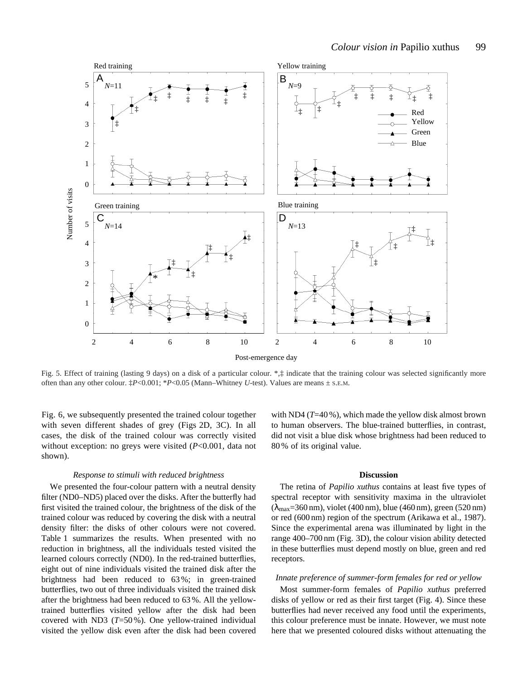

Fig. 5. Effect of training (lasting 9 days) on a disk of a particular colour. \*,‡ indicate that the training colour was selected significantly more often than any other colour. ‡*P*<0.001; \**P*<0.05 (Mann–Whitney *U*-test). Values are means ± S.E.M.

Fig. 6, we subsequently presented the trained colour together with seven different shades of grey (Figs 2D, 3C). In all cases, the disk of the trained colour was correctly visited without exception: no greys were visited (*P*<0.001, data not shown).

### *Response to stimuli with reduced brightness*

We presented the four-colour pattern with a neutral density filter (ND0–ND5) placed over the disks. After the butterfly had first visited the trained colour, the brightness of the disk of the trained colour was reduced by covering the disk with a neutral density filter: the disks of other colours were not covered. Table 1 summarizes the results. When presented with no reduction in brightness, all the individuals tested visited the learned colours correctly (ND0). In the red-trained butterflies, eight out of nine individuals visited the trained disk after the brightness had been reduced to 63 %; in green-trained butterflies, two out of three individuals visited the trained disk after the brightness had been reduced to 63 %. All the yellowtrained butterflies visited yellow after the disk had been covered with ND3 (*T*=50 %). One yellow-trained individual visited the yellow disk even after the disk had been covered

with ND4 (*T*=40 %), which made the yellow disk almost brown to human observers. The blue-trained butterflies, in contrast, did not visit a blue disk whose brightness had been reduced to 80 % of its original value.

# **Discussion**

The retina of *Papilio xuthus* contains at least five types of spectral receptor with sensitivity maxima in the ultraviolet  $(\lambda_{\text{max}}=360 \text{ nm})$ , violet (400 nm), blue (460 nm), green (520 nm) or red (600 nm) region of the spectrum (Arikawa et al., 1987). Since the experimental arena was illuminated by light in the range 400–700 nm (Fig. 3D), the colour vision ability detected in these butterflies must depend mostly on blue, green and red receptors.

# *Innate preference of summer-form females for red or yellow*

Most summer-form females of *Papilio xuthus* preferred disks of yellow or red as their first target (Fig. 4). Since these butterflies had never received any food until the experiments, this colour preference must be innate. However, we must note here that we presented coloured disks without attenuating the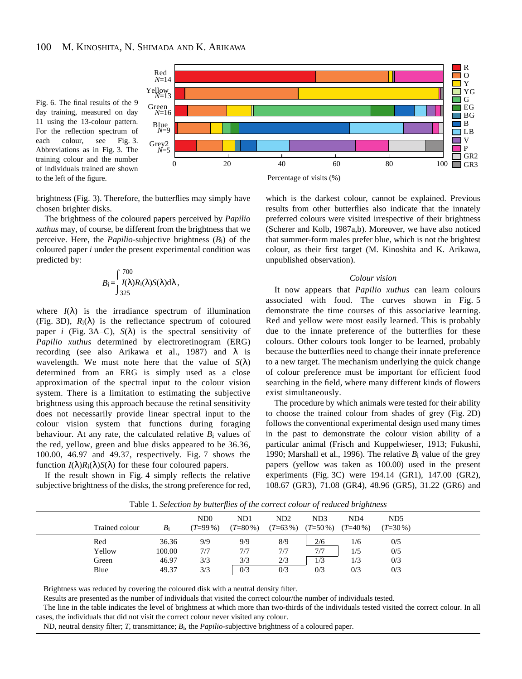



brightness (Fig. 3). Therefore, the butterflies may simply have chosen brighter disks.

The brightness of the coloured papers perceived by *Papilio xuthus* may, of course, be different from the brightness that we perceive. Here, the *Papilio*-subjective brightness (*B*i) of the coloured paper *i* under the present experimental condition was predicted by:

$$
B_{\rm i} = \int_{325}^{700} I(\lambda) R_{\rm i}(\lambda) S(\lambda) d\lambda,
$$

where  $I(\lambda)$  is the irradiance spectrum of illumination (Fig. 3D),  $R_i(\lambda)$  is the reflectance spectrum of coloured paper *i* (Fig. 3A–C),  $S(\lambda)$  is the spectral sensitivity of *Papilio xuthus* determined by electroretinogram (ERG) recording (see also Arikawa et al., 1987) and  $\lambda$  is wavelength. We must note here that the value of  $S(\lambda)$ determined from an ERG is simply used as a close approximation of the spectral input to the colour vision system. There is a limitation to estimating the subjective brightness using this approach because the retinal sensitivity does not necessarily provide linear spectral input to the colour vision system that functions during foraging behaviour. At any rate, the calculated relative  $B_i$  values of the red, yellow, green and blue disks appeared to be 36.36, 100.00, 46.97 and 49.37, respectively. Fig. 7 shows the function  $I(\lambda)R_i(\lambda)S(\lambda)$  for these four coloured papers.

If the result shown in Fig. 4 simply reflects the relative subjective brightness of the disks, the strong preference for red,

which is the darkest colour, cannot be explained. Previous results from other butterflies also indicate that the innately preferred colours were visited irrespective of their brightness (Scherer and Kolb, 1987a,b). Moreover, we have also noticed that summer-form males prefer blue, which is not the brightest colour, as their first target (M. Kinoshita and K. Arikawa, unpublished observation).

# *Colour vision*

It now appears that *Papilio xuthus* can learn colours associated with food. The curves shown in Fig. 5 demonstrate the time courses of this associative learning. Red and yellow were most easily learned. This is probably due to the innate preference of the butterflies for these colours. Other colours took longer to be learned, probably because the butterflies need to change their innate preference to a new target. The mechanism underlying the quick change of colour preference must be important for efficient food searching in the field, where many different kinds of flowers exist simultaneously.

The procedure by which animals were tested for their ability to choose the trained colour from shades of grey (Fig. 2D) follows the conventional experimental design used many times in the past to demonstrate the colour vision ability of a particular animal (Frisch and Kuppelwieser, 1913; Fukushi, 1990; Marshall et al., 1996). The relative  $B_i$  value of the grey papers (yellow was taken as 100.00) used in the present experiments (Fig. 3C) were 194.14 (GR1), 147.00 (GR2), 108.67 (GR3), 71.08 (GR4), 48.96 (GR5), 31.22 (GR6) and

|                |        | N <sub>D</sub> | N <sub>D</sub> 1 | ND2        | ND <sub>3</sub> | N <sub>D</sub> 4 | N <sub>D5</sub> |
|----------------|--------|----------------|------------------|------------|-----------------|------------------|-----------------|
| Trained colour | $B_i$  | $(T=99\%)$     | $(T=80\%)$       | $(T=63\%)$ | $(T=50\%)$      | $(T=40\%)$       | $(T=30\%)$      |
| Red            | 36.36  | 9/9            | 9/9              | 8/9        | 2/6             | 1/6              | 0/5             |
| Yellow         | 100.00 | 7/7            | 7/7              | 7/7        | 7/7             | 1/5              | 0/5             |
| Green          | 46.97  | 3/3            | 3/3              | 2/3        | 1/3             | 1/3              | 0/3             |
| Blue           | 49.37  | 3/3            | 0/3              | 0/3        | 0/3             | 0/3              | 0/3             |
|                |        |                |                  |            |                 |                  |                 |

Table 1*. Selection by butterflies of the correct colour of reduced brightness*

Brightness was reduced by covering the coloured disk with a neutral density filter.

Results are presented as the number of individuals that visited the correct colour/the number of individuals tested.

The line in the table indicates the level of brightness at which more than two-thirds of the individuals tested visited the correct colour. In all cases, the individuals that did not visit the correct colour never visited any colour.

ND, neutral density filter; *T*, transmittance; *B*i, the *Papilio*-subjective brightness of a coloured paper.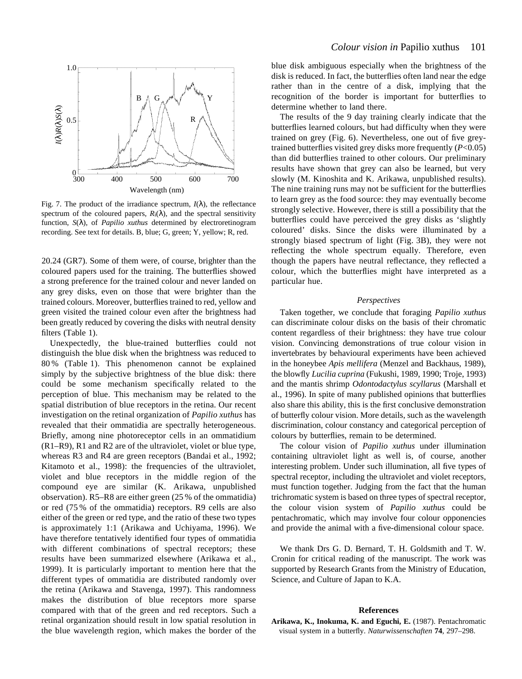

Fig. 7. The product of the irradiance spectrum,  $I(\lambda)$ , the reflectance spectrum of the coloured papers,  $R_i(\lambda)$ , and the spectral sensitivity function, *S*(λ), of *Papilio xuthus* determined by electroretinogram recording. See text for details. B, blue; G, green; Y, yellow; R, red.

20.24 (GR7). Some of them were, of course, brighter than the coloured papers used for the training. The butterflies showed a strong preference for the trained colour and never landed on any grey disks, even on those that were brighter than the trained colours. Moreover, butterflies trained to red, yellow and green visited the trained colour even after the brightness had been greatly reduced by covering the disks with neutral density filters (Table 1).

Unexpectedly, the blue-trained butterflies could not distinguish the blue disk when the brightness was reduced to 80 % (Table 1). This phenomenon cannot be explained simply by the subjective brightness of the blue disk: there could be some mechanism specifically related to the perception of blue. This mechanism may be related to the spatial distribution of blue receptors in the retina. Our recent investigation on the retinal organization of *Papilio xuthus* has revealed that their ommatidia are spectrally heterogeneous. Briefly, among nine photoreceptor cells in an ommatidium (R1–R9), R1 and R2 are of the ultraviolet, violet or blue type, whereas R3 and R4 are green receptors (Bandai et al., 1992; Kitamoto et al., 1998): the frequencies of the ultraviolet, violet and blue receptors in the middle region of the compound eye are similar (K. Arikawa, unpublished observation). R5–R8 are either green (25 % of the ommatidia) or red (75 % of the ommatidia) receptors. R9 cells are also either of the green or red type, and the ratio of these two types is approximately 1:1 (Arikawa and Uchiyama, 1996). We have therefore tentatively identified four types of ommatidia with different combinations of spectral receptors; these results have been summarized elsewhere (Arikawa et al., 1999). It is particularly important to mention here that the different types of ommatidia are distributed randomly over the retina (Arikawa and Stavenga, 1997). This randomness makes the distribution of blue receptors more sparse compared with that of the green and red receptors. Such a retinal organization should result in low spatial resolution in the blue wavelength region, which makes the border of the blue disk ambiguous especially when the brightness of the disk is reduced. In fact, the butterflies often land near the edge rather than in the centre of a disk, implying that the recognition of the border is important for butterflies to determine whether to land there.

The results of the 9 day training clearly indicate that the butterflies learned colours, but had difficulty when they were trained on grey (Fig. 6). Nevertheless, one out of five greytrained butterflies visited grey disks more frequently (*P*<0.05) than did butterflies trained to other colours. Our preliminary results have shown that grey can also be learned, but very slowly (M. Kinoshita and K. Arikawa, unpublished results). The nine training runs may not be sufficient for the butterflies to learn grey as the food source: they may eventually become strongly selective. However, there is still a possibility that the butterflies could have perceived the grey disks as 'slightly coloured' disks. Since the disks were illuminated by a strongly biased spectrum of light (Fig. 3B), they were not reflecting the whole spectrum equally. Therefore, even though the papers have neutral reflectance, they reflected a colour, which the butterflies might have interpreted as a particular hue.

# *Perspectives*

Taken together, we conclude that foraging *Papilio xuthus* can discriminate colour disks on the basis of their chromatic content regardless of their brightness: they have true colour vision. Convincing demonstrations of true colour vision in invertebrates by behavioural experiments have been achieved in the honeybee *Apis mellifera* (Menzel and Backhaus, 1989), the blowfly *Lucilia cuprina* (Fukushi, 1989, 1990; Troje, 1993) and the mantis shrimp *Odontodactylus scyllarus* (Marshall et al., 1996). In spite of many published opinions that butterflies also share this ability, this is the first conclusive demonstration of butterfly colour vision. More details, such as the wavelength discrimination, colour constancy and categorical perception of colours by butterflies, remain to be determined.

The colour vision of *Papilio xuthus* under illumination containing ultraviolet light as well is, of course, another interesting problem. Under such illumination, all five types of spectral receptor, including the ultraviolet and violet receptors, must function together. Judging from the fact that the human trichromatic system is based on three types of spectral receptor, the colour vision system of *Papilio xuthus* could be pentachromatic, which may involve four colour opponencies and provide the animal with a five-dimensional colour space.

We thank Drs G. D. Bernard, T. H. Goldsmith and T. W. Cronin for critical reading of the manuscript. The work was supported by Research Grants from the Ministry of Education, Science, and Culture of Japan to K.A.

# **References**

**Arikawa, K., Inokuma, K. and Eguchi, E.** (1987). Pentachromatic visual system in a butterfly. *Naturwissenschaften* **74**, 297–298.